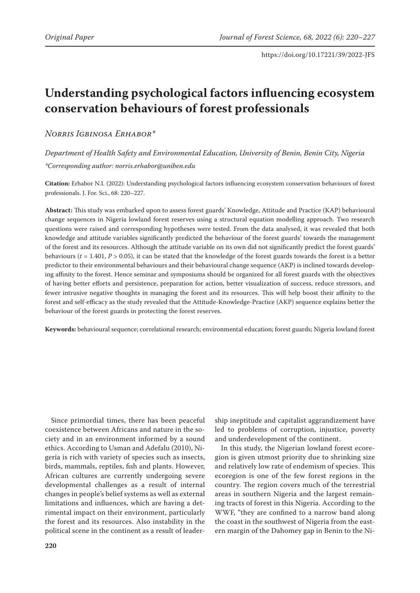# **Understanding psychological factors influencing ecosystem conservation behaviours of forest professionals**

*Norris Igbinosa Erhabor\**

*Department of Health Safety and Environmental Education, University of Benin, Benin City, Nigeria \*Corresponding author: norris.erhabor@uniben.edu*

**Citation:** Erhabor N.I. (2022): Understanding psychological factors influencing ecosystem conservation behaviours of forest professionals. J. For. Sci., 68: 220–227.

**Abstract:** This study was embarked upon to assess forest guards' Knowledge, Attitude and Practice (KAP) behavioural change sequences in Nigeria lowland forest reserves using a structural equation modelling approach. Two research questions were raised and corresponding hypotheses were tested. From the data analysed, it was revealed that both knowledge and attitude variables significantly predicted the behaviour of the forest guards' towards the management of the forest and its resources. Although the attitude variable on its own did not significantly predict the forest guards' behaviours  $(t = 1.401, P > 0.05)$ , it can be stated that the knowledge of the forest guards towards the forest is a better predictor to their environmental behaviours and their behavioural change sequence (AKP) is inclined towards developing affinity to the forest. Hence seminar and symposiums should be organized for all forest guards with the objectives of having better efforts and persistence, preparation for action, better visualization of success, reduce stressors, and fewer intrusive negative thoughts in managing the forest and its resources. This will help boost their affinity to the forest and self-efficacy as the study revealed that the Attitude-Knowledge-Practice (AKP) sequence explains better the behaviour of the forest guards in protecting the forest reserves.

**Keywords:** behavioural sequence; correlational research; environmental education; forest guards; Nigeria lowland forest

Since primordial times, there has been peaceful coexistence between Africans and nature in the society and in an environment informed by a sound ethics. According to Usman and Adefalu (2010), Nigeria is rich with variety of species such as insects, birds, mammals, reptiles, fish and plants. However, African cultures are currently undergoing severe developmental challenges as a result of internal changes in people's belief systems as well as external limitations and influences, which are having a detrimental impact on their environment, particularly the forest and its resources. Also instability in the political scene in the continent as a result of leader-

ship ineptitude and capitalist aggrandizement have led to problems of corruption, injustice, poverty and underdevelopment of the continent.

In this study, the Nigerian lowland forest ecoregion is given utmost priority due to shrinking size and relatively low rate of endemism of species. This ecoregion is one of the few forest regions in the country. The region covers much of the terrestrial areas in southern Nigeria and the largest remaining tracts of forest in this Nigeria. According to the WWF, "they are confined to a narrow band along the coast in the southwest of Nigeria from the eastern margin of the Dahomey gap in Benin to the Ni-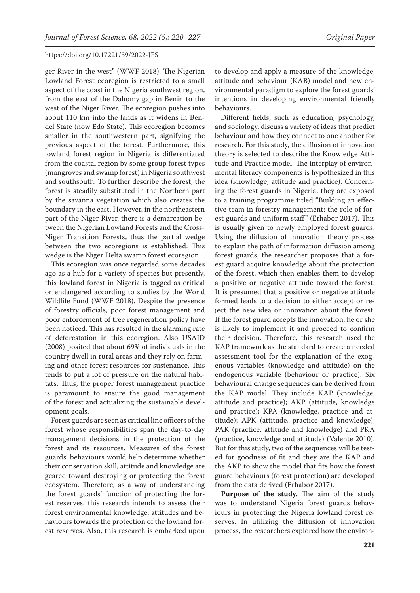ger River in the west" (WWF 2018). The Nigerian Lowland Forest ecoregion is restricted to a small aspect of the coast in the Nigeria southwest region, from the east of the Dahomy gap in Benin to the west of the Niger River. The ecoregion pushes into about 110 km into the lands as it widens in Bendel State (now Edo State). This ecoregion becomes smaller in the southwestern part, signifying the previous aspect of the forest. Furthermore, this lowland forest region in Nigeria is differentiated from the coastal region by some group forest types (mangroves and swamp forest) in Nigeria southwest and southsouth. To further describe the forest, the forest is steadily substituted in the Northern part by the savanna vegetation which also creates the boundary in the east. However, in the northeastern part of the Niger River, there is a demarcation between the Nigerian Lowland Forests and the Cross-Niger Transition Forests, thus the partial wedge between the two ecoregions is established. This wedge is the Niger Delta swamp forest ecoregion.

This ecoregion was once regarded some decades ago as a hub for a variety of species but presently, this lowland forest in Nigeria is tagged as critical or endangered according to studies by the World Wildlife Fund (WWF 2018). Despite the presence of forestry officials, poor forest management and poor enforcement of tree regeneration policy have been noticed. This has resulted in the alarming rate of deforestation in this ecoregion. Also USAID (2008) posited that about 69% of individuals in the country dwell in rural areas and they rely on farming and other forest resources for sustenance. This tends to put a lot of pressure on the natural habitats. Thus, the proper forest management practice is paramount to ensure the good management of the forest and actualizing the sustainable development goals.

Forest guards are seen as critical line officers of the forest whose responsibilities span the day-to-day management decisions in the protection of the forest and its resources. Measures of the forest guards' behaviours would help determine whether their conservation skill, attitude and knowledge are geared toward destroying or protecting the forest ecosystem. Therefore, as a way of understanding the forest guards' function of protecting the forest reserves, this research intends to assess their forest environmental knowledge, attitudes and behaviours towards the protection of the lowland forest reserves. Also, this research is embarked upon

to develop and apply a measure of the knowledge, attitude and behaviour (KAB) model and new environmental paradigm to explore the forest guards' intentions in developing environmental friendly behaviours.

Different fields, such as education, psychology, and sociology, discuss a variety of ideas that predict behaviour and how they connect to one another for research. For this study, the diffusion of innovation theory is selected to describe the Knowledge Attitude and Practice model. The interplay of environmental literacy components is hypothesized in this idea (knowledge, attitude and practice). Concerning the forest guards in Nigeria, they are exposed to a training programme titled "Building an effective team in forestry management: the role of forest guards and uniform staff" (Erhabor 2017). This is usually given to newly employed forest guards. Using the diffusion of innovation theory process to explain the path of information diffusion among forest guards, the researcher proposes that a forest guard acquire knowledge about the protection of the forest, which then enables them to develop a positive or negative attitude toward the forest. It is presumed that a positive or negative attitude formed leads to a decision to either accept or reject the new idea or innovation about the forest. If the forest guard accepts the innovation, he or she is likely to implement it and proceed to confirm their decision. Therefore, this research used the KAP framework as the standard to create a needed assessment tool for the explanation of the exogenous variables (knowledge and attitude) on the endogenous variable (behaviour or practice). Six behavioural change sequences can be derived from the KAP model. They include KAP (knowledge, attitude and practice); AKP (attitude, knowledge and practice); KPA (knowledge, practice and attitude); APK (attitude, practice and knowledge); PAK (practice, attitude and knowledge) and PKA (practice, knowledge and attitude) (Valente 2010). But for this study, two of the sequences will be tested for goodness of fit and they are the KAP and the AKP to show the model that fits how the forest guard behaviours (forest protection) are developed from the data derived (Erhabor 2017).

**Purpose of the study.** The aim of the study was to understand Nigeria forest guards behaviours in protecting the Nigeria lowland forest reserves. In utilizing the diffusion of innovation process, the researchers explored how the environ-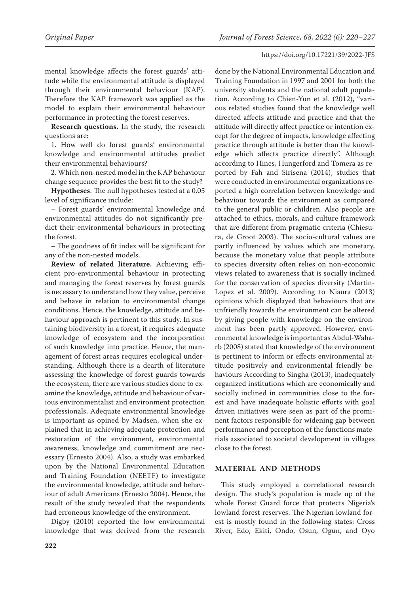mental knowledge affects the forest guards' attitude while the environmental attitude is displayed through their environmental behaviour (KAP). Therefore the KAP framework was applied as the model to explain their environmental behaviour performance in protecting the forest reserves.

**Research questions.** In the study, the research questions are:

1. How well do forest guards' environmental knowledge and environmental attitudes predict their environmental behaviours?

2. Which non-nested model in the KAP behaviour change sequence provides the best fit to the study?

**Hypotheses**. The null hypotheses tested at a 0.05 level of significance include:

– Forest guards' environmental knowledge and environmental attitudes do not significantly predict their environmental behaviours in protecting the forest.

– The goodness of fit index will be significant for any of the non-nested models.

**Review of related literature.** Achieving efficient pro-environmental behaviour in protecting and managing the forest reserves by forest guards is necessary to understand how they value, perceive and behave in relation to environmental change conditions. Hence, the knowledge, attitude and behaviour approach is pertinent to this study. In sustaining biodiversity in a forest, it requires adequate knowledge of ecosystem and the incorporation of such knowledge into practice. Hence, the management of forest areas requires ecological understanding. Although there is a dearth of literature assessing the knowledge of forest guards towards the ecosystem, there are various studies done to examine the knowledge, attitude and behaviour of various environmentalist and environment protection professionals. Adequate environmental knowledge is important as opined by Madsen, when she explained that in achieving adequate protection and restoration of the environment, environmental awareness, knowledge and commitment are necessary (Ernesto 2004). Also, a study was embarked upon by the National Environmental Education and Training Foundation (NEETF) to investigate the environmental knowledge, attitude and behaviour of adult Americans (Ernesto 2004). Hence, the result of the study revealed that the respondents had erroneous knowledge of the environment.

Digby (2010) reported the low environmental knowledge that was derived from the research done by the National Environmental Education and Training Foundation in 1997 and 2001 for both the university students and the national adult population. According to Chien-Yun et al. (2012), "various related studies found that the knowledge well directed affects attitude and practice and that the attitude will directly affect practice or intention except for the degree of impacts, knowledge affecting practice through attitude is better than the knowledge which affects practice directly". Although according to Hines, Hungerford and Tomera as reported by Fah and Sirisena (2014), studies that were conducted in environmental organizations reported a high correlation between knowledge and behaviour towards the environment as compared to the general public or children. Also people are attached to ethics, morals, and culture framework that are different from pragmatic criteria (Chiesura, de Groot 2003). The socio-cultural values are partly influenced by values which are monetary, because the monetary value that people attribute to species diversity often relies on non-economic views related to awareness that is socially inclined for the conservation of species diversity (Martin-Lopez et al. 2009). According to Niaura (2013) opinions which displayed that behaviours that are unfriendly towards the environment can be altered by giving people with knowledge on the environment has been partly approved. However, environmental knowledge is important as Abdul-Waharb (2008) stated that knowledge of the environment is pertinent to inform or effects environmental attitude positively and environmental friendly behaviours According to Singha (2013), inadequately organized institutions which are economically and socially inclined in communities close to the forest and have inadequate holistic efforts with goal driven initiatives were seen as part of the prominent factors responsible for widening gap between performance and perception of the functions materials associated to societal development in villages close to the forest.

## **MATERIAL AND METHODS**

This study employed a correlational research design. The study's population is made up of the whole Forest Guard force that protects Nigeria's lowland forest reserves. The Nigerian lowland forest is mostly found in the following states: Cross River, Edo, Ekiti, Ondo, Osun, Ogun, and Oyo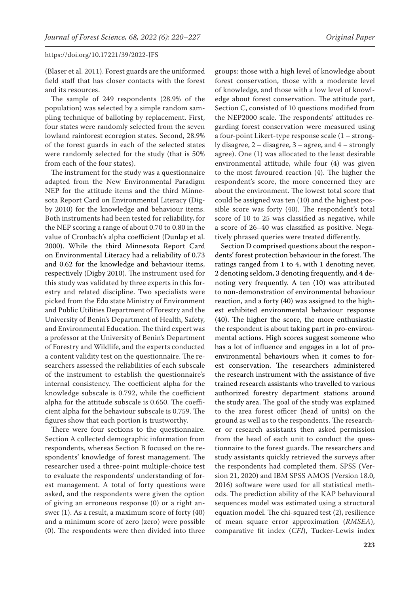(Blaser et al. 2011). Forest guards are the uniformed field staff that has closer contacts with the forest and its resources.

The sample of 249 respondents (28.9% of the population) was selected by a simple random sampling technique of balloting by replacement. First, four states were randomly selected from the seven lowland rainforest ecoregion states. Second, 28.9% of the forest guards in each of the selected states were randomly selected for the study (that is 50% from each of the four states).

The instrument for the study was a questionnaire adapted from the New Environmental Paradigm NEP for the attitude items and the third Minnesota Report Card on Environmental Literacy (Digby 2010) for the knowledge and behaviour items. Both instruments had been tested for reliability, for the NEP scoring a range of about 0.70 to 0.80 in the value of Cronbach's alpha coefficient (Dunlap et al. 2000). While the third Minnesota Report Card on Environmental Literacy had a reliability of 0.73 and 0.62 for the knowledge and behaviour items, respectively (Digby 2010). The instrument used for this study was validated by three experts in this forestry and related discipline. Two specialists were picked from the Edo state Ministry of Environment and Public Utilities Department of Forestry and the University of Benin's Department of Health, Safety, and Environmental Education. The third expert was a professor at the University of Benin's Department of Forestry and Wildlife, and the experts conducted a content validity test on the questionnaire. The researchers assessed the reliabilities of each subscale of the instrument to establish the questionnaire's internal consistency. The coefficient alpha for the knowledge subscale is 0.792, while the coefficient alpha for the attitude subscale is 0.650. The coefficient alpha for the behaviour subscale is 0.759. The figures show that each portion is trustworthy.

There were four sections to the questionnaire. Section A collected demographic information from respondents, whereas Section B focused on the respondents' knowledge of forest management. The researcher used a three-point multiple-choice test to evaluate the respondents' understanding of forest management. A total of forty questions were asked, and the respondents were given the option of giving an erroneous response (0) or a right answer (1). As a result, a maximum score of forty (40) and a minimum score of zero (zero) were possible (0). The respondents were then divided into three

groups: those with a high level of knowledge about forest conservation, those with a moderate level of knowledge, and those with a low level of knowledge about forest conservation. The attitude part, Section C, consisted of 10 questions modified from the NEP2000 scale. The respondents' attitudes regarding forest conservation were measured using a four-point Likert-type response scale (1 – strongly disagree, 2 – disagree, 3 – agree, and 4 – strongly agree). One (1) was allocated to the least desirable environmental attitude, while four (4) was given to the most favoured reaction (4). The higher the respondent's score, the more concerned they are about the environment. The lowest total score that could be assigned was ten (10) and the highest possible score was forty (40). The respondent's total score of 10 to 25 was classified as negative, while a score of 26–40 was classified as positive. Negatively phrased queries were treated differently.

Section D comprised questions about the respondents' forest protection behaviour in the forest. The ratings ranged from 1 to 4, with 1 denoting never, 2 denoting seldom, 3 denoting frequently, and 4 denoting very frequently. A ten (10) was attributed to non-demonstration of environmental behaviour reaction, and a forty (40) was assigned to the highest exhibited environmental behaviour response (40). The higher the score, the more enthusiastic the respondent is about taking part in pro-environmental actions. High scores suggest someone who has a lot of influence and engages in a lot of proenvironmental behaviours when it comes to forest conservation. The researchers administered the research instrument with the assistance of five trained research assistants who travelled to various authorized forestry department stations around the study area. The goal of the study was explained to the area forest officer (head of units) on the ground as well as to the respondents. The researcher or research assistants then asked permission from the head of each unit to conduct the questionnaire to the forest guards. The researchers and study assistants quickly retrieved the surveys after the respondents had completed them. SPSS (Version 21, 2020) and IBM SPSS AMOS (Version 18.0, 2016) software were used for all statistical methods. The prediction ability of the KAP behavioural sequences model was estimated using a structural equation model. The chi-squared test (2), resilience of mean square error approximation (*RMSEA*), comparative fit index (*CFI*), Tucker-Lewis index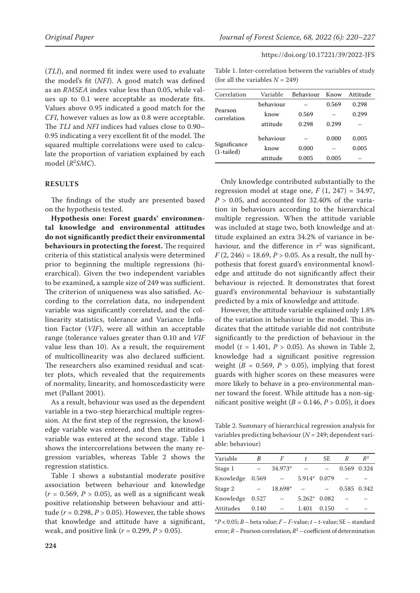(*TLI*), and normed fit index were used to evaluate the model's fit (*NFI*). A good match was defined as an *RMSEA* index value less than 0.05, while values up to 0.1 were acceptable as moderate fits. Values above 0.95 indicated a good match for the *CFI*, however values as low as 0.8 were acceptable. The *TLI* and *NFI* indices had values close to 0.90– 0.95 indicating a very excellent fit of the model. The squared multiple correlations were used to calculate the proportion of variation explained by each model (*R*<sup>2</sup> *SMC*).

## **RESULTS**

The findings of the study are presented based on the hypothesis tested.

**Hypothesis one: Forest guards' environmental knowledge and environmental attitudes do not significantly predict their environmental behaviours in protecting the forest.** The required criteria of this statistical analysis were determined prior to beginning the multiple regressions (hierarchical). Given the two independent variables to be examined, a sample size of 249 was sufficient. The criterion of uniqueness was also satisfied. According to the correlation data, no independent variable was significantly correlated, and the collinearity statistics, tolerance and Variance Inflation Factor (*VIF*), were all within an acceptable range (tolerance values greater than 0.10 and *VIF* value less than 10). As a result, the requirement of multicollinearity was also declared sufficient. The researchers also examined residual and scatter plots, which revealed that the requirements of normality, linearity, and homoscedasticity were met (Pallant 2001).

As a result, behaviour was used as the dependent variable in a two-step hierarchical multiple regression. At the first step of the regression, the knowledge variable was entered, and then the attitudes variable was entered at the second stage. Table 1 shows the intercorrelations between the many regression variables, whereas Table 2 shows the regression statistics.

Table 1 shows a substantial moderate positive association between behaviour and knowledge  $(r = 0.569, P > 0.05)$ , as well as a significant weak positive relationship between behaviour and attitude ( $r = 0.298$ ,  $P > 0.05$ ). However, the table shows that knowledge and attitude have a significant, weak, and positive link (*r* = 0.299, *P* > 0.05).

Table 1. Inter-correlation between the variables of study (for all the variables  $N = 249$ )

| Correlation                  | Variable  | Behaviour | Know  | Attitude |
|------------------------------|-----------|-----------|-------|----------|
|                              | behaviour |           | 0.569 | 0.298    |
| Pearson<br>correlation       | know      | 0.569     |       | 0.299    |
|                              | attitude  | 0.298     | 0.299 |          |
| Significance<br>$(1-tailed)$ | behaviour |           | 0.000 | 0.005    |
|                              | know      | 0.000     |       | 0.005    |
|                              | attitude  | 0.005     | 0.005 |          |

Only knowledge contributed substantially to the regression model at stage one,  $F(1, 247) = 34.97$ ,  $P > 0.05$ , and accounted for 32.40% of the variation in behaviours according to the hierarchical multiple regression. When the attitude variable was included at stage two, both knowledge and attitude explained an extra 34.2% of variance in behaviour, and the difference in  $r^2$  was significant,  $F(2, 246) = 18.69, P > 0.05$ . As a result, the null hypothesis that forest guard's environmental knowledge and attitude do not significantly affect their behaviour is rejected. It demonstrates that forest guard's environmental behaviour is substantially predicted by a mix of knowledge and attitude.

However, the attitude variable explained only 1.8% of the variation in behaviour in the model. This indicates that the attitude variable did not contribute significantly to the prediction of behaviour in the model ( $t = 1.401$ ,  $P > 0.05$ ). As shown in Table 2, knowledge had a significant positive regression weight ( $B = 0.569$ ,  $P > 0.05$ ), implying that forest guards with higher scores on these measures were more likely to behave in a pro-environmental manner toward the forest. While attitude has a non-significant positive weight ( $B = 0.146$ ,  $P > 0.05$ ), it does

Table 2. Summary of hierarchical regression analysis for variables predicting behaviour (*N* = 249; dependent variable: behaviour)

| Variable  | B     | F       | t.       | SE.   | R | $R^2$       |
|-----------|-------|---------|----------|-------|---|-------------|
| Stage 1   |       | 34.973* |          |       |   | 0.569 0.324 |
| Knowledge | 0.569 |         | $5.914*$ | 0.079 |   |             |
| Stage 2   |       | 18.698* |          |       |   | 0.585 0.342 |
| Knowledge | 0.527 |         | $5.262*$ | 0.082 |   |             |
| Attitudes | 0.140 |         | 1.401    | 0.150 |   |             |

\**P* **<** 0.05; *B* – beta value; *F* – *F*-value; *t* – *t*-value; SE – standard error;  $R$  – Pearson correlation;  $R^2$  – coefficient of determination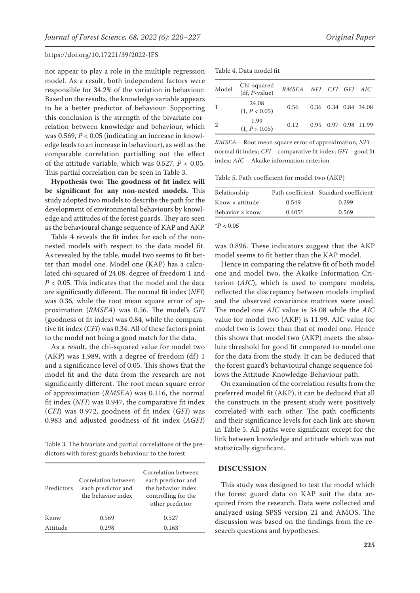not appear to play a role in the multiple regression model. As a result, both independent factors were responsible for 34.2% of the variation in behaviour. Based on the results, the knowledge variable appears to be a better predictor of behaviour. Supporting this conclusion is the strength of the bivariate correlation between knowledge and behaviour, which was 0.569, *P* < 0.05 (indicating an increase in knowledge leads to an increase in behaviour), as well as the comparable correlation partialling out the effect of the attitude variable, which was 0.527, *P* < 0.05. This partial correlation can be seen in Table 3.

**Hypothesis two: The goodness of fit index will be significant for any non-nested models.** This study adopted two models to describe the path for the development of environmental behaviours by knowledge and attitudes of the forest guards. They are seen as the behavioural change sequence of KAP and AKP.

Table 4 reveals the fit index for each of the nonnested models with respect to the data model fit. As revealed by the table, model two seems to fit better than model one. Model one (KAP) has a calculated chi-squared of 24.08, degree of freedom 1 and *P* < 0.05. This indicates that the model and the data are significantly different. The normal fit index (*NFI*) was 0.36, while the root mean square error of approximation (*RMSEA*) was 0.56. The model's *GFI* (goodness of fit index) was 0.84, while the comparative fit index (*CFI*) was 0.34. All of these factors point to the model not being a good match for the data.

As a result, the chi-squared value for model two  $(AKP)$  was 1.989, with a degree of freedom  $(df)$  1 and a significance level of 0.05. This shows that the model fit and the data from the research are not significantly different. The root mean square error of approximation (*RMSEA*) was 0.116, the normal fit index (*NFI*) was 0.947, the comparative fit index (*CFI*) was 0.972, goodness of fit index (*GFI*) was 0.983 and adjusted goodness of fit index (*AGFI*)

Table 3. The bivariate and partial correlations of the predictors with forest guards behaviour to the forest

| Predictors | Correlation between<br>each predictor and<br>the behavior index | Correlation between<br>each predictor and<br>the behavior index<br>controlling for the<br>other predictor |
|------------|-----------------------------------------------------------------|-----------------------------------------------------------------------------------------------------------|
| Know       | 0.569                                                           | 0.527                                                                                                     |
| Attitude   | 0.298                                                           | 0.163                                                                                                     |

Table 4. Data model fit

| Model          | Chi-squared<br>(df, <i>P</i> -value) | RMSEA NFI CFI GFI AIC |  |                      |
|----------------|--------------------------------------|-----------------------|--|----------------------|
| 1              | 24.08<br>(1, P < 0.05)               | 0.56                  |  | 0.36 0.34 0.84 34.08 |
| $\overline{2}$ | 1.99<br>(1, P > 0.05)                | 0.12                  |  | 0.95 0.97 0.98 11.99 |

*RMSEA* – Root mean square error of approximation; *NFI* – normal fit index; *CFI* – comparative fit index; *GFI* – good fit index; *AIC* – Akaike information criterion

Table 5. Path coefficient for model two (AKP)

| Relationship           |          | Path coefficient Standard coefficient |
|------------------------|----------|---------------------------------------|
| $Know \times$ attitude | 0.549    | 0.299                                 |
| Behavior $\times$ know | $0.405*$ | 0.569                                 |

 $^{*}P < 0.05$ 

was 0.896. These indicators suggest that the AKP model seems to fit better than the KAP model.

Hence in comparing the relative fit of both model one and model two, the Akaike Information Criterion (*AIC*), which is used to compare models, reflected the discrepancy between models implied and the observed covariance matrices were used. The model one *AIC* value is 34.08 while the *AIC* value for model two (AKP) is 11.99. AIC value for model two is lower than that of model one. Hence this shows that model two (AKP) meets the absolute threshold for good fit compared to model one for the data from the study. It can be deduced that the forest guard's behavioural change sequence follows the Attitude-Knowledge-Behaviour path.

On examination of the correlation results from the preferred model fit (AKP), it can be deduced that all the constructs in the present study were positively correlated with each other. The path coefficients and their significance levels for each link are shown in Table 5. All paths were significant except for the link between knowledge and attitude which was not statistically significant.

## **DISCUSSION**

This study was designed to test the model which the forest guard data on KAP suit the data acquired from the research. Data were collected and analyzed using SPSS version 21 and AMOS. The discussion was based on the findings from the research questions and hypotheses.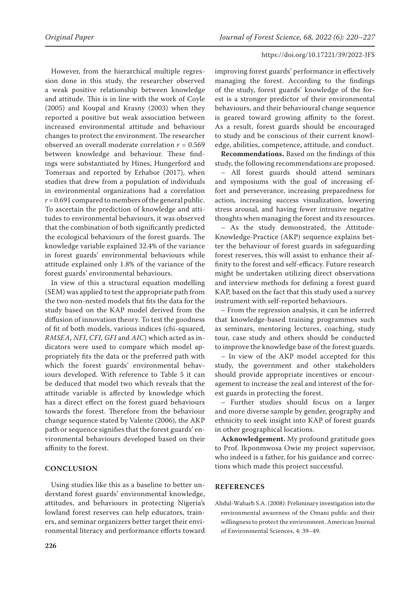However, from the hierarchical multiple regression done in this study, the researcher observed a weak positive relationship between knowledge and attitude. This is in line with the work of Coyle (2005) and Koupal and Krasny (2003) when they reported a positive but weak association between increased environmental attitude and behaviour changes to protect the environment. The researcher observed an overall moderate correlation *r* = 0.569 between knowledge and behaviour. These findings were substantiated by Hines, Hungerford and Tomeraas and reported by Erhabor (2017), when studies that drew from a population of individuals in environmental organizations had a correlation  $r = 0.691$  compared to members of the general public. To ascertain the prediction of knowledge and attitudes to environmental behaviours, it was observed that the combination of both significantly predicted the ecological behaviours of the forest guards. The knowledge variable explained 32.4% of the variance in forest guards' environmental behaviours while attitude explained only 1.8% of the variance of the forest guards' environmental behaviours.

In view of this a structural equation modelling (SEM) was applied to test the appropriate path from the two non-nested models that fits the data for the study based on the KAP model derived from the diffusion of innovation theory. To test the goodness of fit of both models, various indices (chi-squared, *RMSEA*, *NFI*, *CFI*, *GFI* and *AIC*) which acted as indicators were used to compare which model appropriately fits the data or the preferred path with which the forest guards' environmental behaviours developed. With reference to Table 5 it can be deduced that model two which reveals that the attitude variable is affected by knowledge which has a direct effect on the forest guard behaviours towards the forest. Therefore from the behaviour change sequence stated by Valente (2006), the AKP path or sequence signifies that the forest guards' environmental behaviours developed based on their affinity to the forest.

# **CONCLUSION**

Using studies like this as a baseline to better understand forest guards' environmental knowledge, attitudes, and behaviours in protecting Nigeria's lowland forest reserves can help educators, trainers, and seminar organizers better target their environmental literacy and performance efforts toward improving forest guards' performance in effectively managing the forest. According to the findings of the study, forest guards' knowledge of the forest is a stronger predictor of their environmental behaviours, and their behavioural change sequence is geared toward growing affinity to the forest. As a result, forest guards should be encouraged to study and be conscious of their current knowledge, abilities, competence, attitude, and conduct.

**Recommendations.** Based on the findings of this study, the following recommendations are proposed.

– All forest guards should attend seminars and symposiums with the goal of increasing effort and perseverance, increasing preparedness for action, increasing success visualization, lowering stress arousal, and having fewer intrusive negative thoughts when managing the forest and its resources.

– As the study demonstrated, the Attitude-Knowledge-Practice (AKP) sequence explains better the behaviour of forest guards in safeguarding forest reserves, this will assist to enhance their affinity to the forest and self-efficacy. Future research might be undertaken utilizing direct observations and interview methods for defining a forest guard KAP, based on the fact that this study used a survey instrument with self-reported behaviours.

– From the regression analysis, it can be inferred that knowledge-based training programmes such as seminars, mentoring lectures, coaching, study tour, case study and others should be conducted to improve the knowledge base of the forest guards.

– In view of the AKP model accepted for this study, the government and other stakeholders should provide appropriate incentives or encouragement to increase the zeal and interest of the forest guards in protecting the forest.

– Further studies should focus on a larger and more diverse sample by gender, geography and ethnicity to seek insight into KAP of forest guards in other geographical locations.

**Acknowledgement.** My profound gratitude goes to Prof. Ikponmwosa Owie my project supervisor, who indeed is a father, for his guidance and corrections which made this project successful.

## **REFERENCES**

Abdul-Waharb S.A. (2008): Preliminary investigation into the environmental awareness of the Omani public and their willingness to protect the environment. American Journal of Environmental Sciences, 4: 39–49.